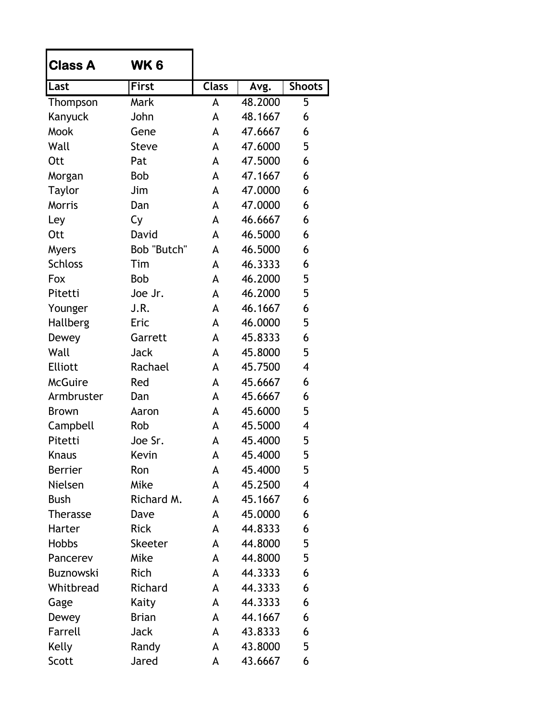| <b>Class A</b>   | WK 6           |              |         |               |
|------------------|----------------|--------------|---------|---------------|
| Last             | <b>First</b>   | <b>Class</b> | Avg.    | <b>Shoots</b> |
| Thompson         | Mark           | A            | 48.2000 | 5             |
| Kanyuck          | John           | A            | 48.1667 | 6             |
| <b>Mook</b>      | Gene           | A            | 47.6667 | 6             |
| Wall             | <b>Steve</b>   | A            | 47.6000 | 5             |
| <b>Ott</b>       | Pat            | A            | 47.5000 | 6             |
| Morgan           | <b>Bob</b>     | A            | 47.1667 | 6             |
| <b>Taylor</b>    | Jim            | A            | 47.0000 | 6             |
| <b>Morris</b>    | Dan            | A            | 47.0000 | 6             |
| Ley              | Cy             | A            | 46.6667 | 6             |
| <b>Ott</b>       | David          | A            | 46.5000 | 6             |
| <b>Myers</b>     | Bob "Butch"    | A            | 46.5000 | 6             |
| <b>Schloss</b>   | Tim            | A            | 46.3333 | 6             |
| Fox              | <b>Bob</b>     | A            | 46.2000 | 5             |
| Pitetti          | Joe Jr.        | A            | 46.2000 | 5             |
| Younger          | J.R.           | A            | 46.1667 | 6             |
| Hallberg         | Eric           | A            | 46.0000 | 5             |
| Dewey            | Garrett        | A            | 45.8333 | 6             |
| Wall             | Jack           | A            | 45.8000 | 5             |
| <b>Elliott</b>   | Rachael        | A            | 45.7500 | 4             |
| <b>McGuire</b>   | Red            | A            | 45.6667 | 6             |
| Armbruster       | Dan            | A            | 45.6667 | 6             |
| <b>Brown</b>     | Aaron          | A            | 45.6000 | 5             |
| Campbell         | Rob            | A            | 45.5000 | 4             |
| Pitetti          | Joe Sr.        | A            | 45.4000 | 5             |
| Knaus            | Kevin          | A            | 45.4000 | 5             |
| <b>Berrier</b>   | Ron            | A            | 45.4000 | 5             |
| Nielsen          | Mike           | A            | 45.2500 | 4             |
| <b>Bush</b>      | Richard M.     | A            | 45.1667 | 6             |
| <b>Therasse</b>  | Dave           | A            | 45.0000 | 6             |
| Harter           | <b>Rick</b>    | A            | 44.8333 | 6             |
| <b>Hobbs</b>     | <b>Skeeter</b> | A            | 44.8000 | 5             |
| Pancerev         | Mike           | A            | 44.8000 | 5             |
| <b>Buznowski</b> | Rich           | A            | 44.3333 | 6             |
| Whitbread        | Richard        | A            | 44.3333 | 6             |
| Gage             | Kaity          | A            | 44.3333 | 6             |
| Dewey            | <b>Brian</b>   | A            | 44.1667 | 6             |
| Farrell          | Jack           | A            | 43.8333 | 6             |
| Kelly            | Randy          | A            | 43.8000 | 5             |
| Scott            | Jared          | A            | 43.6667 | 6             |